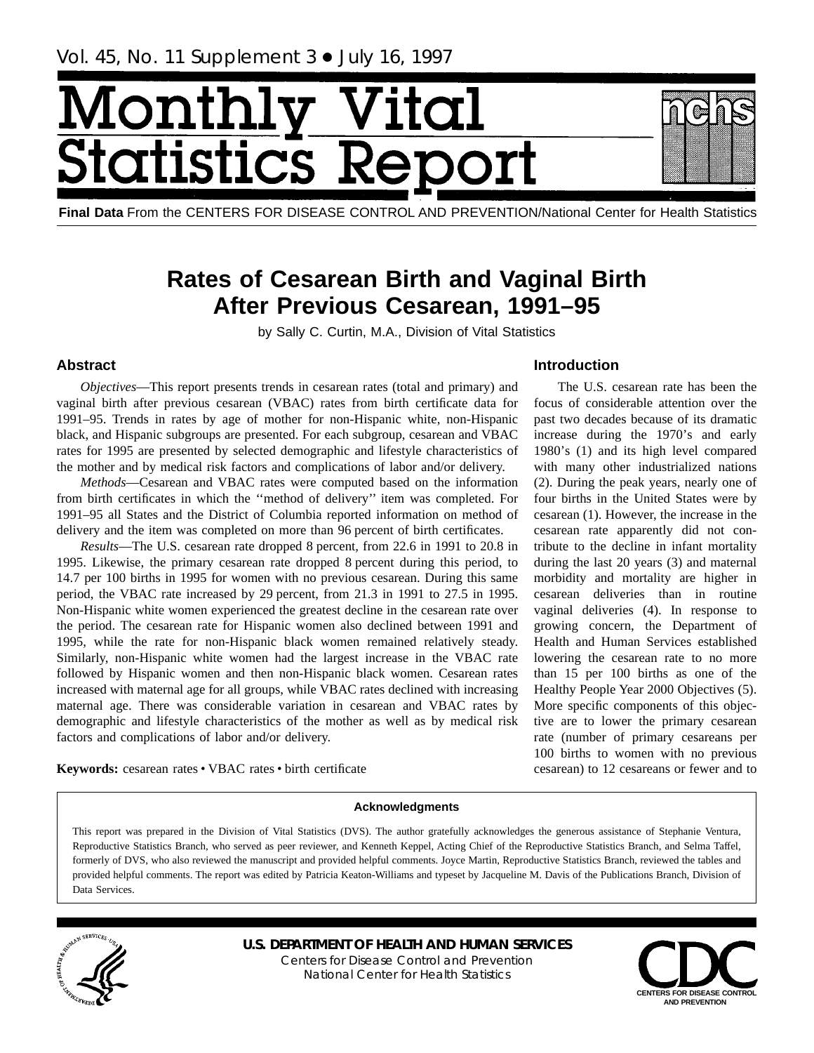# <span id="page-0-0"></span>Monthl tatist tics R



# **Rates of Cesarean Birth and Vaginal Birth After Previous Cesarean, 1991–95**

by Sally C. Curtin, M.A., Division of Vital Statistics

# **Abstract**

*Objectives*—This report presents trends in cesarean rates (total and primary) and vaginal birth after previous cesarean (VBAC) rates from birth certificate data for 1991–95. Trends in rates by age of mother for non-Hispanic white, non-Hispanic black, and Hispanic subgroups are presented. For each subgroup, cesarean and VBAC rates for 1995 are presented by selected demographic and lifestyle characteristics of the mother and by medical risk factors and complications of labor and/or delivery.

*Methods*—Cesarean and VBAC rates were computed based on the information from birth certificates in which the ''method of delivery'' item was completed. For 1991–95 all States and the District of Columbia reported information on method of delivery and the item was completed on more than 96 percent of birth certificates.

*Results*—The U.S. cesarean rate dropped 8 percent, from 22.6 in 1991 to 20.8 in 1995. Likewise, the primary cesarean rate dropped 8 percent during this period, to 14.7 per 100 births in 1995 for women with no previous cesarean. During this same period, the VBAC rate increased by 29 percent, from 21.3 in 1991 to 27.5 in 1995. Non-Hispanic white women experienced the greatest decline in the cesarean rate over the period. The cesarean rate for Hispanic women also declined between 1991 and 1995, while the rate for non-Hispanic black women remained relatively steady. Similarly, non-Hispanic white women had the largest increase in the VBAC rate followed by Hispanic women and then non-Hispanic black women. Cesarean rates increased with maternal age for all groups, while VBAC rates declined with increasing maternal age. There was considerable variation in cesarean and VBAC rates by demographic and lifestyle characteristics of the mother as well as by medical risk factors and complications of labor and/or delivery.

# **Introduction**

The U.S. cesarean rate has been the focus of considerable attention over the past two decades because of its dramatic increase during the 1970's and early 1980's (1) and its high level compared with many other industrialized nations (2). During the peak years, nearly one of four births in the United States were by cesarean (1). However, the increase in the cesarean rate apparently did not contribute to the decline in infant mortality during the last 20 years (3) and maternal morbidity and mortality are higher in cesarean deliveries than in routine vaginal deliveries (4). In response to growing concern, the Department of Health and Human Services established lowering the cesarean rate to no more than 15 per 100 births as one of the Healthy People Year 2000 Objectives (5). More specific components of this objective are to lower the primary cesarean rate (number of primary cesareans per 100 births to women with no previous cesarean) to 12 cesareans or fewer and to

Keywords: cesarean rates • VBAC rates • birth certificate

#### **Acknowledgments**

This report was prepared in the Division of Vital Statistics (DVS). The author gratefully acknowledges the generous assistance of Stephanie Ventura, Reproductive Statistics Branch, who served as peer reviewer, and Kenneth Keppel, Acting Chief of the Reproductive Statistics Branch, and Selma Taffel, formerly of DVS, who also reviewed the manuscript and provided helpful comments. Joyce Martin, Reproductive Statistics Branch, reviewed the tables and provided helpful comments. The report was edited by Patricia Keaton-Williams and typeset by Jacqueline M. Davis of the Publications Branch, Division of Data Services.



**U.S. DEPARTMENT OF HEALTH AND HUMAN SERVICES** Centers for Disease Control and Prevention National Center for Health Statistics

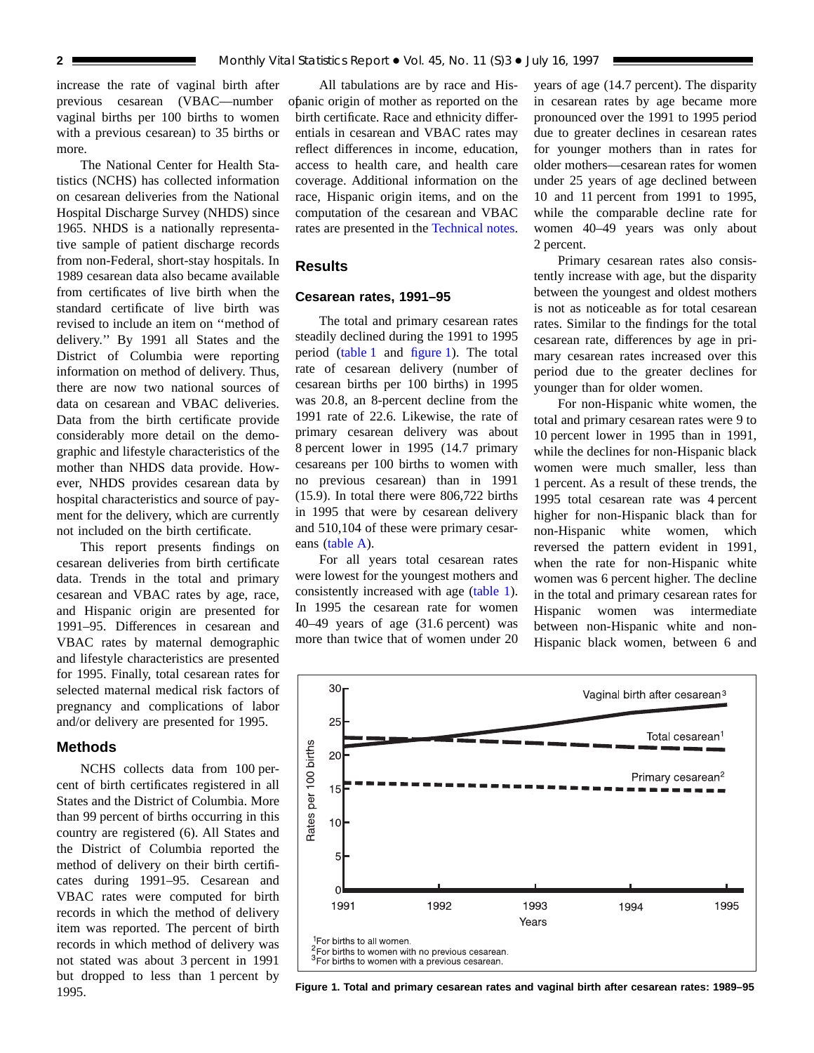<span id="page-1-1"></span>increase the rate of vaginal birth after previous cesarean (VBAC—number vaginal births per 100 births to women with a previous cesarean) to 35 births or more.

The National Center for Health Statistics (NCHS) has collected information on cesarean deliveries from the National Hospital Discharge Survey (NHDS) since 1965. NHDS is a nationally representative sample of patient discharge records from non-Federal, short-stay hospitals. In 1989 cesarean data also became available from certificates of live birth when the standard certificate of live birth was revised to include an item on ''method of delivery.'' By 1991 all States and the District of Columbia were reporting information on method of delivery. Thus, there are now two national sources of data on cesarean and VBAC deliveries. Data from the birth certificate provide considerably more detail on the demographic and lifestyle characteristics of the mother than NHDS data provide. However, NHDS provides cesarean data by hospital characteristics and source of payment for the delivery, which are currently not included on the birth certificate.

This report presents findings on cesarean deliveries from birth certificate data. Trends in the total and primary cesarean and VBAC rates by age, race, and Hispanic origin are presented for 1991–95. Differences in cesarean and VBAC rates by maternal demographic and lifestyle characteristics are presented for 1995. Finally, total cesarean rates for selected maternal medical risk factors of pregnancy and complications of labor and/or delivery are presented for 1995.

#### **Methods**

NCHS collects data from 100 percent of birth certificates registered in all States and the District of Columbia. More than 99 percent of births occurring in this country are registered (6). All States and the District of Columbia reported the method of delivery on their birth certificates during 1991–95. Cesarean and VBAC rates were computed for birth records in which the method of delivery item was reported. The percent of birth records in which method of delivery was not stated was about 3 percent in 1991 but dropped to less than 1 percent by 1995.

All tabulations are by race and Hispanic origin of mother as reported on the birth certificate. Race and ethnicity differentials in cesarean and VBAC rates may reflect differences in income, education, access to health care, and health care coverage. Additional information on the race, Hispanic origin items, and on the computation of the cesarean and VBAC rates are presented in the [Technical notes.](#page-10-0)

## **Results**

#### **Cesarean rates, 1991–95**

The total and primary cesarean rates steadily declined during the 1991 to 1995 perio[d \(table 1](#page-6-0) and [figure 1\).](#page-1-0) The total rate of cesarean delivery (number of cesarean births per 100 births) in 1995 was 20.8, an 8-percent decline from the 1991 rate of 22.6. Likewise, the rate of primary cesarean delivery was about 8 percent lower in 1995 (14.7 primary cesareans per 100 births to women with no previous cesarean) than in 1991 (15.9). In total there were 806,722 births in 1995 that were by cesarean delivery and 510,104 of these were primary cesarean[s \(table A\).](#page-2-0)

For all years total cesarean rates were lowest for the youngest mothers and consistently increased with ag[e \(table 1\).](#page-6-0) In 1995 the cesarean rate for women 40–49 years of age (31.6 percent) was more than twice that of women under 20

years of age (14.7 percent). The disparity in cesarean rates by age became more pronounced over the 1991 to 1995 period due to greater declines in cesarean rates for younger mothers than in rates for older mothers—cesarean rates for women under 25 years of age declined between 10 and 11 percent from 1991 to 1995, while the comparable decline rate for women 40–49 years was only about 2 percent.

Primary cesarean rates also consistently increase with age, but the disparity between the youngest and oldest mothers is not as noticeable as for total cesarean rates. Similar to the findings for the total cesarean rate, differences by age in primary cesarean rates increased over this period due to the greater declines for younger than for older women.

For non-Hispanic white women, the total and primary cesarean rates were 9 to 10 percent lower in 1995 than in 1991, while the declines for non-Hispanic black women were much smaller, less than 1 percent. As a result of these trends, the 1995 total cesarean rate was 4 percent higher for non-Hispanic black than for non-Hispanic white women, which reversed the pattern evident in 1991, when the rate for non-Hispanic white women was 6 percent higher. The decline in the total and primary cesarean rates for Hispanic women was intermediate between non-Hispanic white and non-Hispanic black women, between 6 and

<span id="page-1-0"></span>

**Figure 1. Total and primary cesarean rates and vaginal birth after cesarean rates: 1989–95**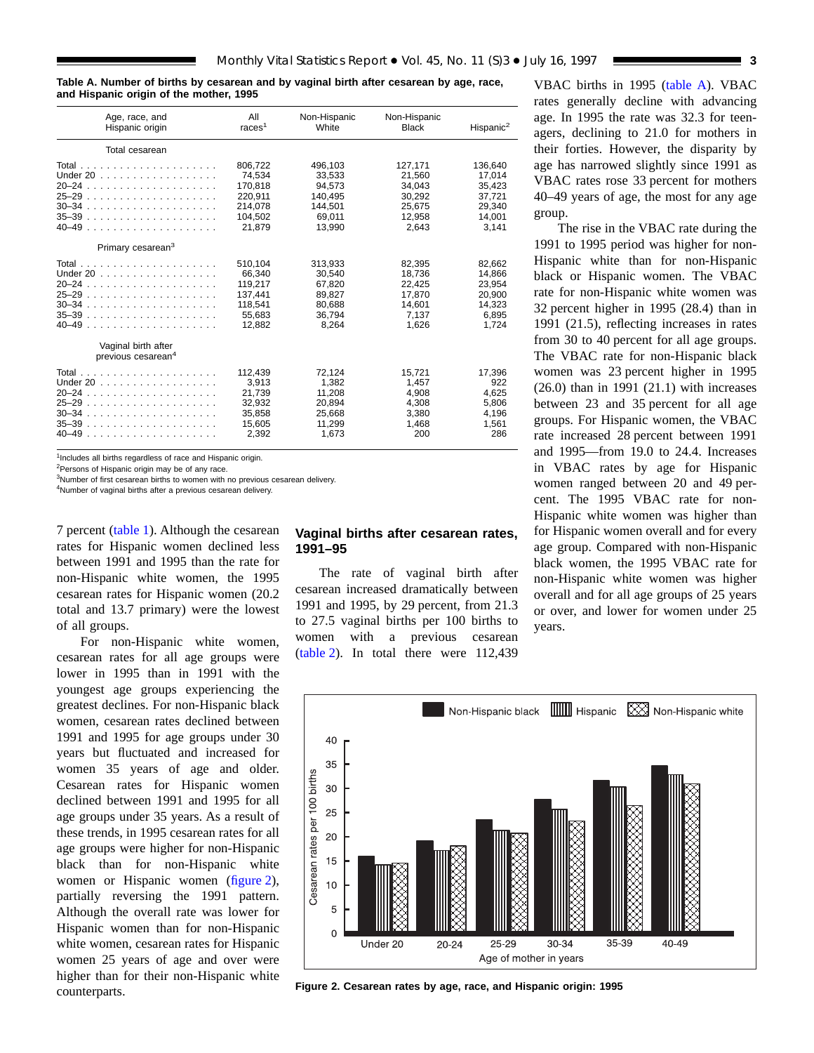<span id="page-2-2"></span><span id="page-2-0"></span>**Table A. Number of births by cesarean and by vaginal birth after cesarean by age, race, and Hispanic origin of the mother, 1995**

| Age, race, and                                        | All                | Non-Hispanic | Non-Hispanic | Hispanic <sup>2</sup> |
|-------------------------------------------------------|--------------------|--------------|--------------|-----------------------|
| Hispanic origin                                       | races <sup>1</sup> | White        | <b>Black</b> |                       |
| Total cesarean                                        |                    |              |              |                       |
|                                                       | 806,722            | 496,103      | 127,171      | 136,640               |
| Under $20$ ,                                          | 74,534             | 33,533       | 21,560       | 17,014                |
|                                                       | 170.818            | 94.573       | 34.043       | 35.423                |
|                                                       | 220,911            | 140,495      | 30,292       | 37,721                |
|                                                       | 214.078            | 144.501      | 25.675       | 29.340                |
| 35–39                                                 | 104,502            | 69,011       | 12.958       | 14,001                |
|                                                       | 21,879             | 13.990       | 2,643        | 3,141                 |
| Primary cesarean <sup>3</sup>                         |                    |              |              |                       |
|                                                       | 510,104            | 313,933      | 82,395       | 82,662                |
| Under 20                                              | 66.340             | 30.540       | 18,736       | 14.866                |
|                                                       | 119,217            | 67,820       | 22,425       | 23.954                |
|                                                       | 137.441            | 89.827       | 17.870       | 20.900                |
|                                                       | 118.541            | 80.688       | 14,601       | 14.323                |
|                                                       | 55,683             | 36.794       | 7.137        | 6,895                 |
| 40–49                                                 | 12,882             | 8,264        | 1,626        | 1,724                 |
| Vaginal birth after<br>previous cesarean <sup>4</sup> |                    |              |              |                       |
|                                                       | 112,439            | 72,124       | 15,721       | 17,396                |
| Under 20                                              | 3,913              | 1,382        | 1.457        | 922                   |
|                                                       | 21.739             | 11.208       | 4.908        | 4.625                 |
|                                                       | 32,932             | 20,894       | 4,308        | 5,806                 |
|                                                       | 35,858             | 25.668       | 3.380        | 4,196                 |
|                                                       | 15,605             | 11,299       | 1,468        | 1,561                 |
| 40–49                                                 | 2,392              | 1,673        | 200          | 286                   |

 $1$ Includes all births regardless of race and Hispanic origin.

<sup>2</sup>Persons of Hispanic origin may be of any race

<sup>3</sup>Number of first cesarean births to women with no previous cesarean delivery.

<sup>4</sup>Number of vaginal births after a previous cesarean delivery

7 perce[nt \(table 1\). Al](#page-6-0)though the cesarean rates for Hispanic women declined less between 1991 and 1995 than the rate for non-Hispanic white women, the 1995 cesarean rates for Hispanic women (20.2 total and 13.7 primary) were the lowest of all groups.

For non-Hispanic white women, cesarean rates for all age groups were lower in 1995 than in 1991 with the youngest age groups experiencing the greatest declines. For non-Hispanic black women, cesarean rates declined between 1991 and 1995 for age groups under 30 years but fluctuated and increased for women 35 years of age and older. Cesarean rates for Hispanic women declined between 1991 and 1995 for all age groups under 35 years. As a result of these trends, in 1995 cesarean rates for all age groups were higher for non-Hispanic black than for non-Hispanic white women or Hispanic wome[n \(figure 2\),](#page-2-1) partially reversing the 1991 pattern. Although the overall rate was lower for Hispanic women than for non-Hispanic white women, cesarean rates for Hispanic women 25 years of age and over were higher than for their non-Hispanic white counterparts.

#### **Vaginal births after cesarean rates, 1991–95**

The rate of vaginal birth after cesarean increased dramatically between 1991 and 1995, by 29 percent, from 21.3 to 27.5 vaginal births per 100 births to women with a previous cesarean [\(table 2\).](#page-7-0) In total there were 112,439

VBAC births in 1995 [\(table A\).](#page-2-2) VBAC rates generally decline with advancing age. In 1995 the rate was 32.3 for teenagers, declining to 21.0 for mothers in their forties. However, the disparity by age has narrowed slightly since 1991 as VBAC rates rose 33 percent for mothers 40–49 years of age, the most for any age group.

The rise in the VBAC rate during the 1991 to 1995 period was higher for non-Hispanic white than for non-Hispanic black or Hispanic women. The VBAC rate for non-Hispanic white women was 32 percent higher in 1995 (28.4) than in 1991 (21.5), reflecting increases in rates from 30 to 40 percent for all age groups. The VBAC rate for non-Hispanic black women was 23 percent higher in 1995 (26.0) than in 1991 (21.1) with increases between 23 and 35 percent for all age groups. For Hispanic women, the VBAC rate increased 28 percent between 1991 and 1995—from 19.0 to 24.4. Increases in VBAC rates by age for Hispanic women ranged between 20 and 49 percent. The 1995 VBAC rate for non-Hispanic white women was higher than for Hispanic women overall and for every age group. Compared with non-Hispanic black women, the 1995 VBAC rate for non-Hispanic white women was higher overall and for all age groups of 25 years or over, and lower for women under 25 years.

<span id="page-2-1"></span>

**Figure 2. Cesarean rates by age, race, and Hispanic origin: 1995**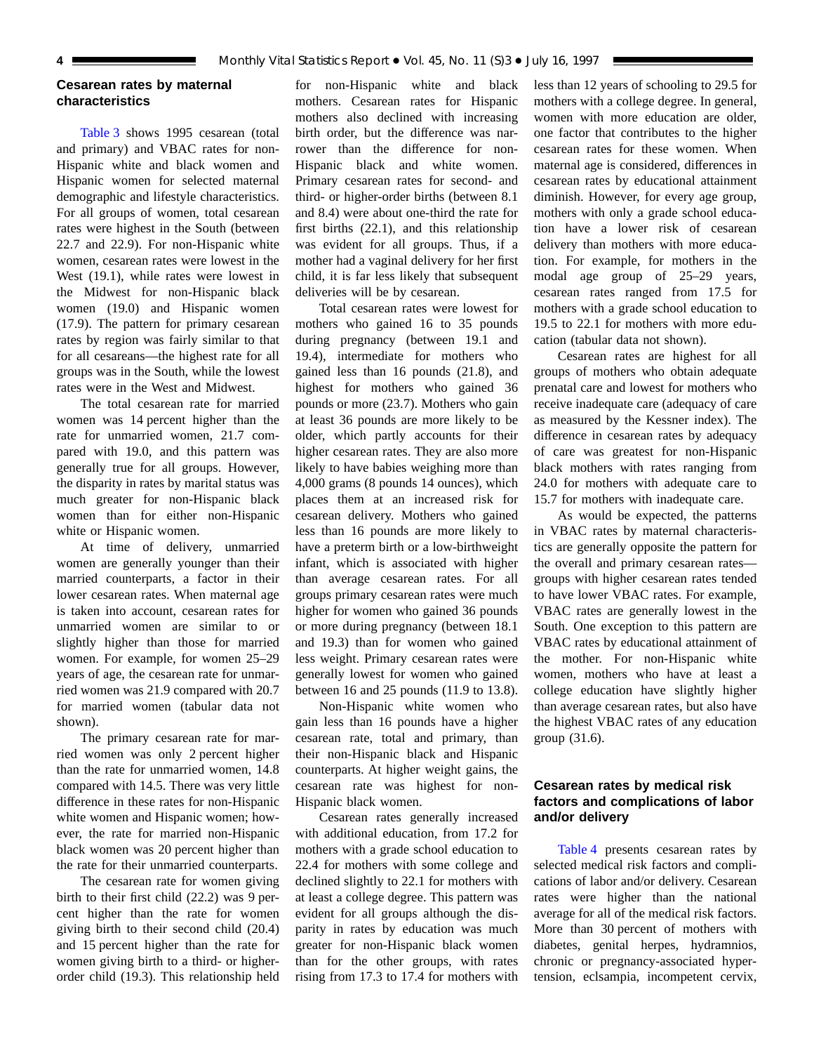#### <span id="page-3-0"></span>**Cesarean rates by maternal characteristics**

Table 3 shows 1995 cesarean (total a[nd primary\) a](#page-8-0)nd VBAC rates for non-Hispanic white and black women and Hispanic women for selected maternal demographic and lifestyle characteristics. For all groups of women, total cesarean rates were highest in the South (between 22.7 and 22.9). For non-Hispanic white women, cesarean rates were lowest in the West (19.1), while rates were lowest in the Midwest for non-Hispanic black women (19.0) and Hispanic women (17.9). The pattern for primary cesarean rates by region was fairly similar to that for all cesareans—the highest rate for all groups was in the South, while the lowest rates were in the West and Midwest.

The total cesarean rate for married women was 14 percent higher than the rate for unmarried women, 21.7 compared with 19.0, and this pattern was generally true for all groups. However, the disparity in rates by marital status was much greater for non-Hispanic black women than for either non-Hispanic white or Hispanic women.

At time of delivery, unmarried women are generally younger than their married counterparts, a factor in their lower cesarean rates. When maternal age is taken into account, cesarean rates for unmarried women are similar to or slightly higher than those for married women. For example, for women 25–29 years of age, the cesarean rate for unmarried women was 21.9 compared with 20.7 for married women (tabular data not shown).

The primary cesarean rate for married women was only 2 percent higher than the rate for unmarried women, 14.8 compared with 14.5. There was very little difference in these rates for non-Hispanic white women and Hispanic women; however, the rate for married non-Hispanic black women was 20 percent higher than the rate for their unmarried counterparts.

The cesarean rate for women giving birth to their first child (22.2) was 9 percent higher than the rate for women giving birth to their second child (20.4) and 15 percent higher than the rate for women giving birth to a third- or higherorder child (19.3). This relationship held for non-Hispanic white and black mothers. Cesarean rates for Hispanic mothers also declined with increasing birth order, but the difference was narrower than the difference for non-Hispanic black and white women. Primary cesarean rates for second- and third- or higher-order births (between 8.1 and 8.4) were about one-third the rate for first births (22.1), and this relationship was evident for all groups. Thus, if a mother had a vaginal delivery for her first child, it is far less likely that subsequent deliveries will be by cesarean.

Total cesarean rates were lowest for mothers who gained 16 to 35 pounds during pregnancy (between 19.1 and 19.4), intermediate for mothers who gained less than 16 pounds (21.8), and highest for mothers who gained 36 pounds or more (23.7). Mothers who gain at least 36 pounds are more likely to be older, which partly accounts for their higher cesarean rates. They are also more likely to have babies weighing more than 4,000 grams (8 pounds 14 ounces), which places them at an increased risk for cesarean delivery. Mothers who gained less than 16 pounds are more likely to have a preterm birth or a low-birthweight infant, which is associated with higher than average cesarean rates. For all groups primary cesarean rates were much higher for women who gained 36 pounds or more during pregnancy (between 18.1 and 19.3) than for women who gained less weight. Primary cesarean rates were generally lowest for women who gained between 16 and 25 pounds (11.9 to 13.8).

Non-Hispanic white women who gain less than 16 pounds have a higher cesarean rate, total and primary, than their non-Hispanic black and Hispanic counterparts. At higher weight gains, the cesarean rate was highest for non-Hispanic black women.

Cesarean rates generally increased with additional education, from 17.2 for mothers with a grade school education to 22.4 for mothers with some college and declined slightly to 22.1 for mothers with at least a college degree. This pattern was evident for all groups although the disparity in rates by education was much greater for non-Hispanic black women than for the other groups, with rates rising from 17.3 to 17.4 for mothers with

less than 12 years of schooling to 29.5 for mothers with a college degree. In general, women with more education are older, one factor that contributes to the higher cesarean rates for these women. When maternal age is considered, differences in cesarean rates by educational attainment diminish. However, for every age group, mothers with only a grade school education have a lower risk of cesarean delivery than mothers with more education. For example, for mothers in the modal age group of 25–29 years, cesarean rates ranged from 17.5 for mothers with a grade school education to 19.5 to 22.1 for mothers with more education (tabular data not shown).

Cesarean rates are highest for all groups of mothers who obtain adequate prenatal care and lowest for mothers who receive inadequate care (adequacy of care as measured by the Kessner index). The difference in cesarean rates by adequacy of care was greatest for non-Hispanic black mothers with rates ranging from 24.0 for mothers with adequate care to 15.7 for mothers with inadequate care.

As would be expected, the patterns in VBAC rates by maternal characteristics are generally opposite the pattern for the overall and primary cesarean rates groups with higher cesarean rates tended to have lower VBAC rates. For example, VBAC rates are generally lowest in the South. One exception to this pattern are VBAC rates by educational attainment of the mother. For non-Hispanic white women, mothers who have at least a college education have slightly higher than average cesarean rates, but also have the highest VBAC rates of any education group (31.6).

# **Cesarean rates by medical risk factors and complications of labor and/or delivery**

Table 4 presents cesarean rates by s[elected medic](#page-9-0)al risk factors and complications of labor and/or delivery. Cesarean rates were higher than the national average for all of the medical risk factors. More than 30 percent of mothers with diabetes, genital herpes, hydramnios, chronic or pregnancy-associated hypertension, eclsampia, incompetent cervix,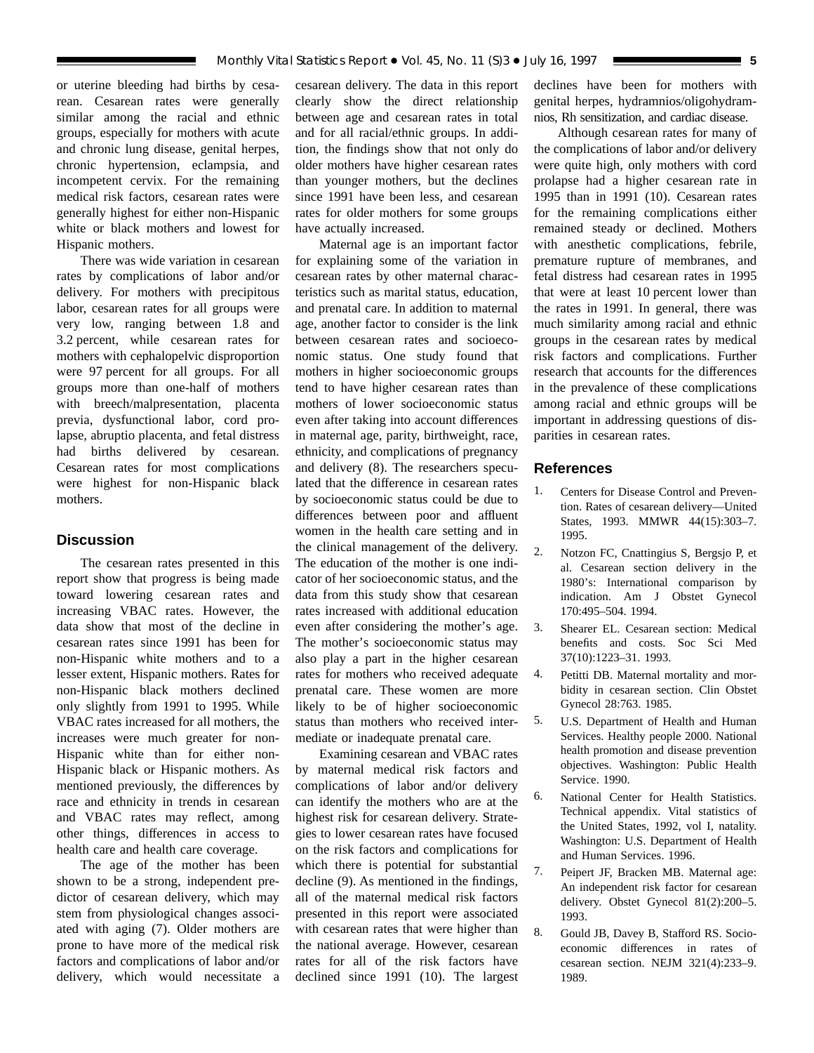<span id="page-4-0"></span>or uterine bleeding had births by cesarean. Cesarean rates were generally similar among the racial and ethnic groups, especially for mothers with acute and chronic lung disease, genital herpes, chronic hypertension, eclampsia, and incompetent cervix. For the remaining medical risk factors, cesarean rates were generally highest for either non-Hispanic white or black mothers and lowest for Hispanic mothers.

There was wide variation in cesarean rates by complications of labor and/or delivery. For mothers with precipitous labor, cesarean rates for all groups were very low, ranging between 1.8 and 3.2 percent, while cesarean rates for mothers with cephalopelvic disproportion were 97 percent for all groups. For all groups more than one-half of mothers with breech/malpresentation, placenta previa, dysfunctional labor, cord prolapse, abruptio placenta, and fetal distress had births delivered by cesarean. Cesarean rates for most complications were highest for non-Hispanic black mothers.

# **Discussion**

The cesarean rates presented in this report show that progress is being made toward lowering cesarean rates and increasing VBAC rates. However, the data show that most of the decline in cesarean rates since 1991 has been for non-Hispanic white mothers and to a lesser extent, Hispanic mothers. Rates for non-Hispanic black mothers declined only slightly from 1991 to 1995. While VBAC rates increased for all mothers, the increases were much greater for non-Hispanic white than for either non-Hispanic black or Hispanic mothers. As mentioned previously, the differences by race and ethnicity in trends in cesarean and VBAC rates may reflect, among other things, differences in access to health care and health care coverage.

The age of the mother has been shown to be a strong, independent predictor of cesarean delivery, which may stem from physiological changes associated with aging (7). Older mothers are prone to have more of the medical risk factors and complications of labor and/or delivery, which would necessitate a

cesarean delivery. The data in this report clearly show the direct relationship between age and cesarean rates in total and for all racial/ethnic groups. In addition, the findings show that not only do older mothers have higher cesarean rates than younger mothers, but the declines since 1991 have been less, and cesarean rates for older mothers for some groups have actually increased.

Maternal age is an important factor for explaining some of the variation in cesarean rates by other maternal characteristics such as marital status, education, and prenatal care. In addition to maternal age, another factor to consider is the link between cesarean rates and socioeconomic status. One study found that mothers in higher socioeconomic groups tend to have higher cesarean rates than mothers of lower socioeconomic status even after taking into account differences in maternal age, parity, birthweight, race, ethnicity, and complications of pregnancy and delivery (8). The researchers speculated that the difference in cesarean rates by socioeconomic status could be due to differences between poor and affluent women in the health care setting and in the clinical management of the delivery. The education of the mother is one indicator of her socioeconomic status, and the data from this study show that cesarean rates increased with additional education even after considering the mother's age. The mother's socioeconomic status may also play a part in the higher cesarean rates for mothers who received adequate prenatal care. These women are more likely to be of higher socioeconomic status than mothers who received intermediate or inadequate prenatal care.

Examining cesarean and VBAC rates by maternal medical risk factors and complications of labor and/or delivery can identify the mothers who are at the highest risk for cesarean delivery. Strategies to lower cesarean rates have focused on the risk factors and complications for which there is potential for substantial decline (9). As mentioned in the findings, all of the maternal medical risk factors presented in this report were associated with cesarean rates that were higher than the national average. However, cesarean rates for all of the risk factors have declined since 1991 (10). The largest

declines have been for mothers with genital herpes, hydramnios/oligohydramnios, Rh sensitization, and cardiac disease.

Although cesarean rates for many of the complications of labor and/or delivery were quite high, only mothers with cord prolapse had a higher cesarean rate in 1995 than in 1991 (10). Cesarean rates for the remaining complications either remained steady or declined. Mothers with anesthetic complications, febrile, premature rupture of membranes, and fetal distress had cesarean rates in 1995 that were at least 10 percent lower than the rates in 1991. In general, there was much similarity among racial and ethnic groups in the cesarean rates by medical risk factors and complications. Further research that accounts for the differences in the prevalence of these complications among racial and ethnic groups will be important in addressing questions of disparities in cesarean rates.

#### **References**

- 1. Centers for Disease Control and Prevention. Rates of cesarean delivery—United States, 1993. MMWR 44(15):303–7. 1995.
- 2. Notzon FC, Cnattingius S, Bergsjo P, et al. Cesarean section delivery in the 1980's: International comparison by indication. Am J Obstet Gynecol 170:495–504. 1994.
- 3. Shearer EL. Cesarean section: Medical benefits and costs. Soc Sci Med 37(10):1223–31. 1993.
- 4. Petitti DB. Maternal mortality and morbidity in cesarean section. Clin Obstet Gynecol 28:763. 1985.
- 5. U.S. Department of Health and Human Services. Healthy people 2000. National health promotion and disease prevention objectives. Washington: Public Health Service. 1990.
- 6. National Center for Health Statistics. Technical appendix. Vital statistics of the United States, 1992, vol I, natality. Washington: U.S. Department of Health and Human Services. 1996.
- 7. Peipert JF, Bracken MB. Maternal age: An independent risk factor for cesarean delivery. Obstet Gynecol 81(2):200–5. 1993.
- 8. Gould JB, Davey B, Stafford RS. Socioeconomic differences in rates of cesarean section. NEJM 321(4):233–9. 1989.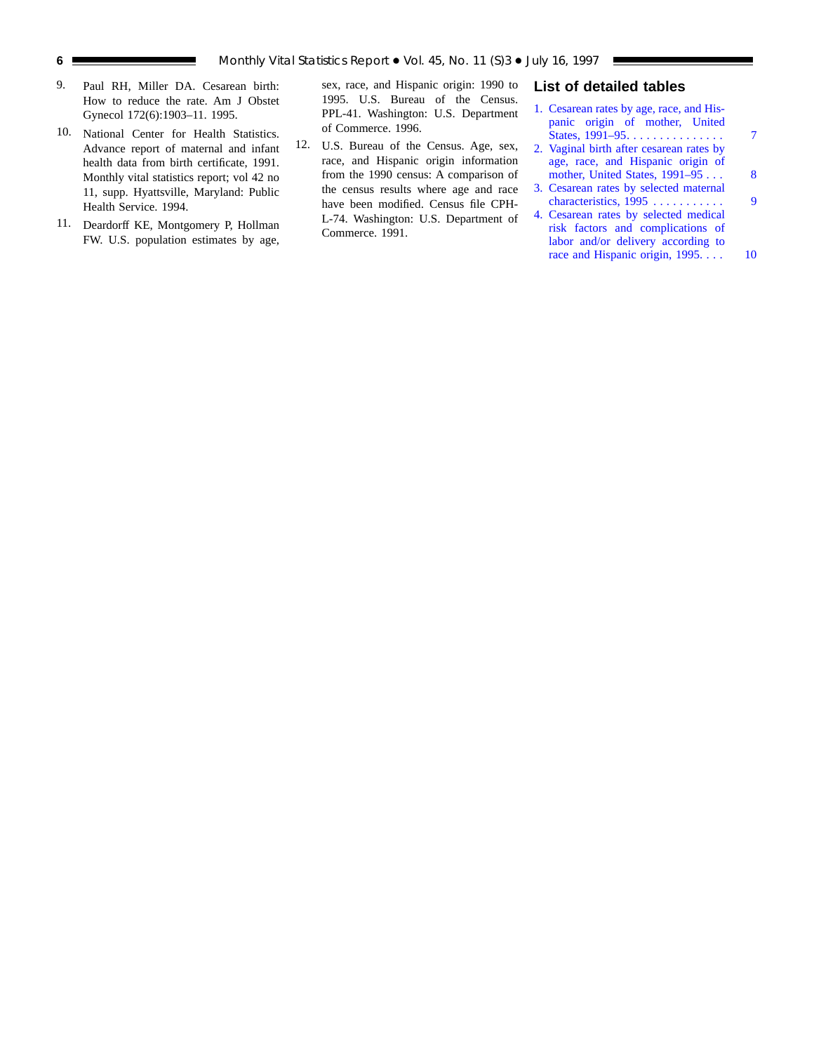- <span id="page-5-0"></span>9. Paul RH, Miller DA. Cesarean birth: How to reduce the rate. Am J Obstet Gynecol 172(6):1903–11. 1995.
- 10. National Center for Health Statistics. Advance report of maternal and infant health data from birth certificate, 1991. Monthly vital statistics report; vol 42 no 11, supp. Hyattsville, Maryland: Public Health Service. 1994.
- 11. Deardorff KE, Montgomery P, Hollman FW. U.S. population estimates by age,

sex, race, and Hispanic origin: 1990 to 1995. U.S. Bureau of the Census. PPL-41. Washington: U.S. Department of Commerce. 1996.

12. U.S. Bureau of the Census. Age, sex, race, and Hispanic origin information from the 1990 census: A comparison of the census results where age and race have been modified. Census file CPH-L-74. Washington: U.S. Department of Commerce. 1991.

# **List of detailed tables**

| 1. Cesarean rates by age, race, and His- |   |
|------------------------------------------|---|
| panic origin of mother, United           |   |
| States, 1991-95.                         |   |
| 2. Vaginal birth after cesarean rates by |   |
| age, race, and Hispanic origin of        |   |
| mother, United States, $1991-95$         | 8 |
| 3. Cesarean rates by selected maternal   |   |
| characteristics, 1995                    | 9 |
| 4. Cesarean rates by selected medical    |   |

risk factors and complications of labor and/or delivery according to race and Hispanic origin, 1995. . . . . 10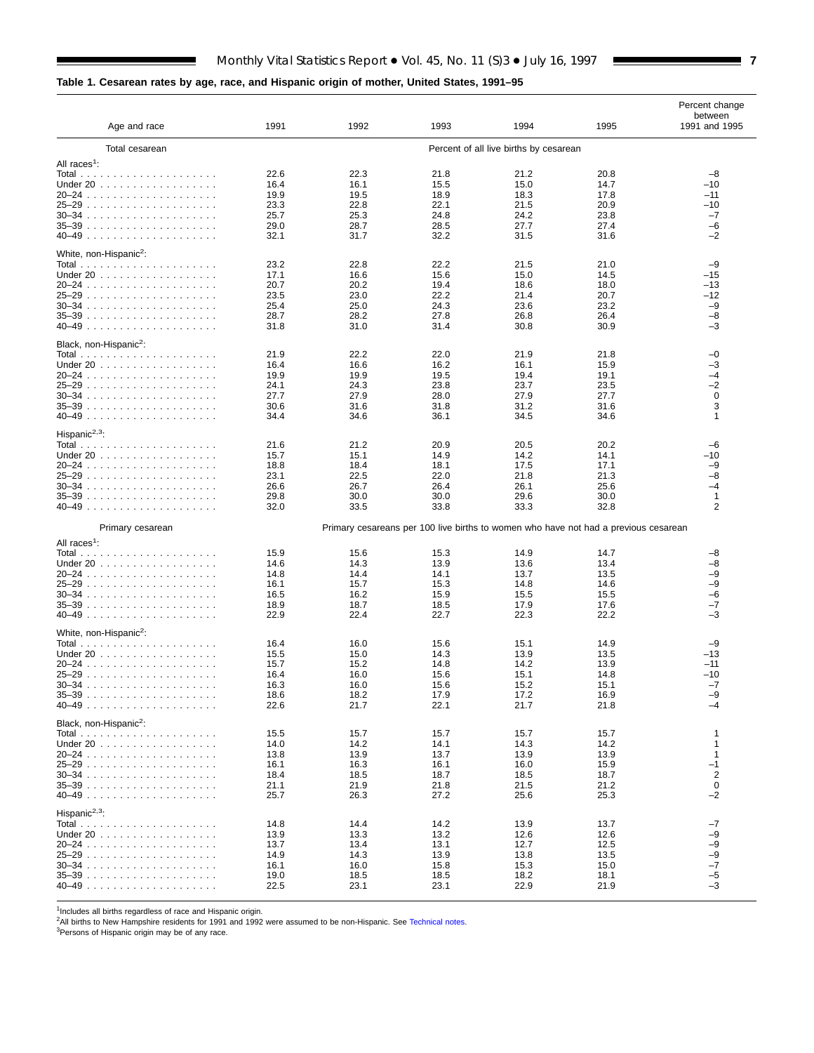### <span id="page-6-0"></span>**Table 1. Cesarean rates by age, race, and Hispanic origin of mother, United States, 1991–95**

|                                    |                                        |              |              |                                                                                     |              | Percent change           |
|------------------------------------|----------------------------------------|--------------|--------------|-------------------------------------------------------------------------------------|--------------|--------------------------|
| Age and race                       | 1991                                   | 1992         | 1993         | 1994                                                                                | 1995         | between<br>1991 and 1995 |
| Total cesarean                     | Percent of all live births by cesarean |              |              |                                                                                     |              |                          |
| All races <sup>1</sup> :           |                                        |              |              |                                                                                     |              |                          |
|                                    | 22.6                                   | 22.3         | 21.8         | 21.2                                                                                | 20.8         | $-8$                     |
| Under 20                           | 16.4                                   | 16.1         | 15.5         | 15.0                                                                                | 14.7         | -10                      |
|                                    | 19.9                                   | 19.5         | 18.9         | 18.3                                                                                | 17.8         | $-11$                    |
|                                    | 23.3                                   | 22.8         | 22.1         | 21.5                                                                                | 20.9         | -10                      |
|                                    | 25.7                                   | 25.3         | 24.8         | 24.2                                                                                | 23.8         | $-7$                     |
|                                    | 29.0                                   | 28.7         | 28.5         | 27.7                                                                                | 27.4         | $-6$                     |
|                                    | 32.1                                   | 31.7         | 32.2         | 31.5                                                                                | 31.6         | -2                       |
| White, non-Hispanic <sup>2</sup> : |                                        |              |              |                                                                                     |              |                          |
|                                    | 23.2                                   | 22.8         | 22.2         | 21.5                                                                                | 21.0         | $-9$<br>$-15$            |
| Under 20                           | 17.1<br>20.7                           | 16.6<br>20.2 | 15.6<br>19.4 | 15.0<br>18.6                                                                        | 14.5<br>18.0 | -13                      |
|                                    | 23.5                                   | 23.0         | 22.2         | 21.4                                                                                | 20.7         | $-12$                    |
|                                    | 25.4                                   | 25.0         | 24.3         | 23.6                                                                                | 23.2         | $-9$                     |
|                                    | 28.7                                   | 28.2         | 27.8         | 26.8                                                                                | 26.4         | -8                       |
|                                    | 31.8                                   | 31.0         | 31.4         | 30.8                                                                                | 30.9         | -3                       |
| Black, non-Hispanic <sup>2</sup> : |                                        |              |              |                                                                                     |              |                          |
|                                    | 21.9                                   | 22.2         | 22.0         | 21.9                                                                                | 21.8         | -0                       |
| Under 20                           | 16.4                                   | 16.6         | 16.2         | 16.1                                                                                | 15.9         | -3                       |
|                                    | 19.9                                   | 19.9         | 19.5         | 19.4                                                                                | 19.1         | -4                       |
|                                    | 24.1                                   | 24.3         | 23.8         | 23.7                                                                                | 23.5         | -2                       |
|                                    | 27.7                                   | 27.9         | 28.0         | 27.9                                                                                | 27.7         | 0                        |
|                                    | 30.6                                   | 31.6         | 31.8         | 31.2                                                                                | 31.6         | 3                        |
|                                    | 34.4                                   | 34.6         | 36.1         | 34.5                                                                                | 34.6         | 1                        |
| Hispanic <sup>2,3</sup> :          |                                        |              |              |                                                                                     |              |                          |
|                                    | 21.6                                   | 21.2         | 20.9         | 20.5                                                                                | 20.2         | $-6$                     |
| Under $20$ ,                       | 15.7                                   | 15.1         | 14.9         | 14.2                                                                                | 14.1         | -10                      |
|                                    | 18.8                                   | 18.4         | 18.1         | 17.5                                                                                | 17.1         | -9                       |
|                                    | 23.1                                   | 22.5         | 22.0         | 21.8                                                                                | 21.3         | -8                       |
|                                    | 26.6                                   | 26.7         | 26.4         | 26.1                                                                                | 25.6         | -4                       |
|                                    | 29.8<br>32.0                           | 30.0<br>33.5 | 30.0<br>33.8 | 29.6<br>33.3                                                                        | 30.0<br>32.8 | 1<br>$\overline{2}$      |
|                                    |                                        |              |              |                                                                                     |              |                          |
| Primary cesarean                   |                                        |              |              | Primary cesareans per 100 live births to women who have not had a previous cesarean |              |                          |
| All races <sup>1</sup> :           | 15.9                                   | 15.6         | 15.3         | 14.9                                                                                | 14.7         | -8                       |
| Under $20$                         | 14.6                                   | 14.3         | 13.9         | 13.6                                                                                | 13.4         | -8                       |
|                                    | 14.8                                   | 14.4         | 14.1         | 13.7                                                                                | 13.5         | -9                       |
|                                    | 16.1                                   | 15.7         | 15.3         | 14.8                                                                                | 14.6         | -9                       |
|                                    | 16.5                                   | 16.2         | 15.9         | 15.5                                                                                | 15.5         | -6                       |
|                                    | 18.9                                   | 18.7         | 18.5         | 17.9                                                                                | 17.6         | -7                       |
|                                    | 22.9                                   | 22.4         | 22.7         | 22.3                                                                                | 22.2         | -3                       |
| White, non-Hispanic <sup>2</sup> : |                                        |              |              |                                                                                     |              |                          |
|                                    | 16.4                                   | 16.0         | 15.6         | 15.1                                                                                | 14.9         | -9                       |
| Under 20                           | 15.5                                   | 15.0         | 14.3         | 13.9                                                                                | 13.5         | $-13$                    |
|                                    | 15.7                                   | 15.2         | 14.8         | 14.2                                                                                | 13.9         | $-11$                    |
|                                    | 16.4                                   | 16.0         | 15.6         | 15.1                                                                                | 14.8         | $-10$                    |
|                                    | 16.3                                   | 16.0         | 15.6         | 15.2                                                                                | 15.1         | $-7$                     |
| $35 - 39$ .<br>.                   | 18.6                                   | 18.2         | 17.9         | 17.2                                                                                | 16.9         | -9                       |
|                                    | 22.6                                   | 21.7         | 22.1         | 21.7                                                                                | 21.8         | -4                       |
| Black, non-Hispanic <sup>2</sup> : |                                        |              |              |                                                                                     |              |                          |
|                                    | 15.5                                   | 15.7         | 15.7         | 15.7                                                                                | 15.7         | 1                        |
| Under $20$                         | 14.0                                   | 14.2         | 14.1         | 14.3                                                                                | 14.2         | 1                        |
|                                    | 13.8<br>16.1                           | 13.9<br>16.3 | 13.7<br>16.1 | 13.9<br>16.0                                                                        | 13.9<br>15.9 | 1<br>$-1$                |
|                                    | 18.4                                   | 18.5         | 18.7         | 18.5                                                                                | 18.7         | $\overline{\mathbf{c}}$  |
|                                    | 21.1                                   | 21.9         | 21.8         | 21.5                                                                                | 21.2         | $\pmb{0}$                |
| 40–49                              | 25.7                                   | 26.3         | 27.2         | 25.6                                                                                | 25.3         | $-2$                     |
| Hispanic <sup>2,3</sup> :          |                                        |              |              |                                                                                     |              |                          |
|                                    | 14.8                                   | 14.4         | 14.2         | 13.9                                                                                | 13.7         | -7                       |
| Under $20$ ,                       | 13.9                                   | 13.3         | 13.2         | 12.6                                                                                | 12.6         | -9                       |
|                                    | 13.7                                   | 13.4         | 13.1         | 12.7                                                                                | 12.5         | -9                       |
| 25–29                              | 14.9                                   | 14.3         | 13.9         | 13.8                                                                                | 13.5         | -9                       |
|                                    | 16.1                                   | 16.0         | 15.8         | 15.3                                                                                | 15.0         | $-7$                     |
|                                    | 19.0                                   | 18.5         | 18.5         | 18.2                                                                                | 18.1         | $-5$<br>$-3$             |
|                                    | 22.5                                   | 23.1         | 23.1         | 22.9                                                                                | 21.9         |                          |

<sup>1</sup>Includes all births regardless of race and Hispanic origin.<br><sup>2</sup>All births to New Hampshire residents for 1991 and 1992 were assumed to be non-Hispanic. See [Technical notes.](#page-10-0)<br><sup>3</sup>Persons of Hispanic origin may be of any ra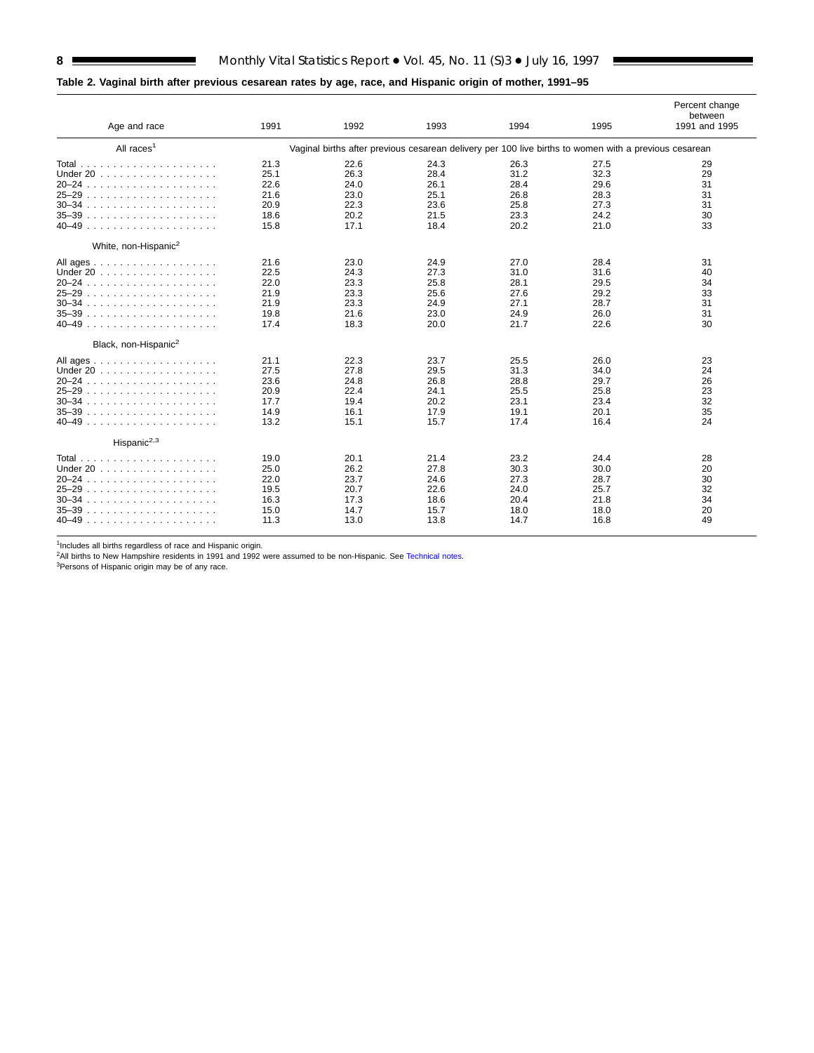### <span id="page-7-0"></span>**Table 2. Vaginal birth after previous cesarean rates by age, race, and Hispanic origin of mother, 1991–95**

| Age and race                                                                                                              | 1991                                                 | 1992                                                 | 1993                                                 | 1994                                                                                                  | 1995                                                 | Percent change<br>between<br>1991 and 1995 |
|---------------------------------------------------------------------------------------------------------------------------|------------------------------------------------------|------------------------------------------------------|------------------------------------------------------|-------------------------------------------------------------------------------------------------------|------------------------------------------------------|--------------------------------------------|
| All races <sup>1</sup>                                                                                                    |                                                      |                                                      |                                                      | Vaginal births after previous cesarean delivery per 100 live births to women with a previous cesarean |                                                      |                                            |
| Under 20<br>20–24<br>25–29<br>$30 - 34$<br>$35 - 39$<br>$40 - 49$                                                         | 21.3<br>25.1<br>22.6<br>21.6<br>20.9<br>18.6<br>15.8 | 22.6<br>26.3<br>24.0<br>23.0<br>22.3<br>20.2<br>17.1 | 24.3<br>28.4<br>26.1<br>25.1<br>23.6<br>21.5<br>18.4 | 26.3<br>31.2<br>28.4<br>26.8<br>25.8<br>23.3<br>20.2                                                  | 27.5<br>32.3<br>29.6<br>28.3<br>27.3<br>24.2<br>21.0 | 29<br>29<br>31<br>31<br>31<br>30<br>33     |
| White, non-Hispanic <sup>2</sup><br>All ages<br>Under 20<br>$20 - 24$<br>$25 - 29$<br>$30 - 34$<br>$35 - 39$<br>40–49     | 21.6<br>22.5<br>22.0<br>21.9<br>21.9<br>19.8<br>17.4 | 23.0<br>24.3<br>23.3<br>23.3<br>23.3<br>21.6<br>18.3 | 24.9<br>27.3<br>25.8<br>25.6<br>24.9<br>23.0<br>20.0 | 27.0<br>31.0<br>28.1<br>27.6<br>27.1<br>24.9<br>21.7                                                  | 28.4<br>31.6<br>29.5<br>29.2<br>28.7<br>26.0<br>22.6 | 31<br>40<br>34<br>33<br>31<br>31<br>30     |
| Black, non-Hispanic <sup>2</sup><br>All ages<br>Under 20<br>$20 - 24$<br>$25 - 29$<br>$30 - 34$<br>$35 - 39$<br>$40 - 49$ | 21.1<br>27.5<br>23.6<br>20.9<br>17.7<br>14.9<br>13.2 | 22.3<br>27.8<br>24.8<br>22.4<br>19.4<br>16.1<br>15.1 | 23.7<br>29.5<br>26.8<br>24.1<br>20.2<br>17.9<br>15.7 | 25.5<br>31.3<br>28.8<br>25.5<br>23.1<br>19.1<br>17.4                                                  | 26.0<br>34.0<br>29.7<br>25.8<br>23.4<br>20.1<br>16.4 | 23<br>24<br>26<br>23<br>32<br>35<br>24     |
| Hispanic <sup>2,3</sup><br>Under $20$ ,<br>$20 - 24$<br>$25 - 29$<br>$30 - 34$<br>.<br>$35 - 39$<br>.<br>$40 - 49$        | 19.0<br>25.0<br>22.0<br>19.5<br>16.3<br>15.0<br>11.3 | 20.1<br>26.2<br>23.7<br>20.7<br>17.3<br>14.7<br>13.0 | 21.4<br>27.8<br>24.6<br>22.6<br>18.6<br>15.7<br>13.8 | 23.2<br>30.3<br>27.3<br>24.0<br>20.4<br>18.0<br>14.7                                                  | 24.4<br>30.0<br>28.7<br>25.7<br>21.8<br>18.0<br>16.8 | 28<br>20<br>30<br>32<br>34<br>20<br>49     |

<sup>1</sup>Includes all births regardless of race and Hispanic origin.<br><sup>2</sup>All births to New Hampshire residents in 1991 and 1992 were assumed to be non-Hispanic. See [Technical notes.](#page-10-0)<br><sup>3</sup>Persons of Hispanic origin may be of any rac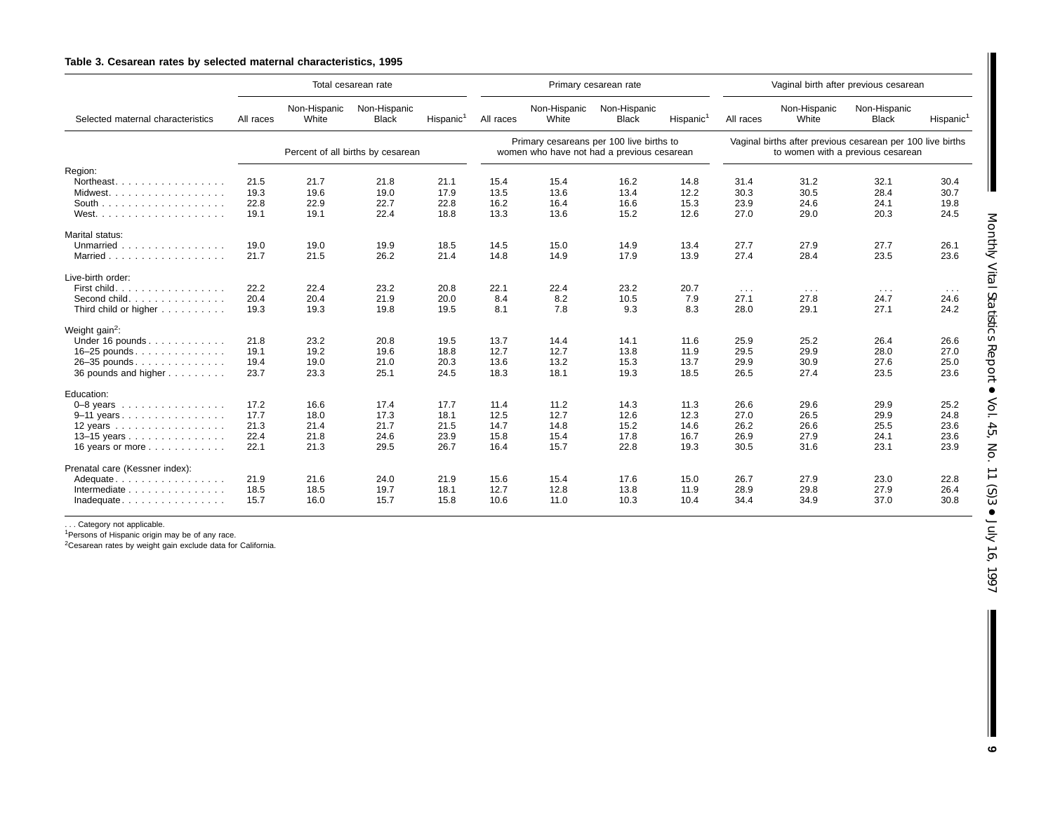#### **Table 3. Cesarean rates by selected maternal characteristics, 1995**

|                                               |           |                       | Total cesarean rate               |                       |                                                                                        | Primary cesarean rate |                              |                                                                                                 | Vaginal birth after previous cesarean |                       |                              |                       |
|-----------------------------------------------|-----------|-----------------------|-----------------------------------|-----------------------|----------------------------------------------------------------------------------------|-----------------------|------------------------------|-------------------------------------------------------------------------------------------------|---------------------------------------|-----------------------|------------------------------|-----------------------|
| Selected maternal characteristics             | All races | Non-Hispanic<br>White | Non-Hispanic<br><b>Black</b>      | Hispanic <sup>1</sup> | All races                                                                              | Non-Hispanic<br>White | Non-Hispanic<br><b>Black</b> | Hispanic <sup>1</sup>                                                                           | All races                             | Non-Hispanic<br>White | Non-Hispanic<br><b>Black</b> | Hispanic <sup>1</sup> |
|                                               |           |                       | Percent of all births by cesarean |                       | Primary cesareans per 100 live births to<br>women who have not had a previous cesarean |                       |                              | Vaginal births after previous cesarean per 100 live births<br>to women with a previous cesarean |                                       |                       |                              |                       |
| Region:                                       |           |                       |                                   |                       |                                                                                        |                       |                              |                                                                                                 |                                       |                       |                              |                       |
| Northeast.                                    | 21.5      | 21.7                  | 21.8                              | 21.1                  | 15.4                                                                                   | 15.4                  | 16.2                         | 14.8                                                                                            | 31.4                                  | 31.2                  | 32.1                         | 30.4                  |
| Midwest.                                      | 19.3      | 19.6                  | 19.0                              | 17.9                  | 13.5                                                                                   | 13.6                  | 13.4                         | 12.2                                                                                            | 30.3                                  | 30.5                  | 28.4                         | 30.7                  |
|                                               | 22.8      | 22.9                  | 22.7                              | 22.8                  | 16.2                                                                                   | 16.4                  | 16.6                         | 15.3                                                                                            | 23.9                                  | 24.6                  | 24.1                         | 19.8                  |
|                                               | 19.1      | 19.1                  | 22.4                              | 18.8                  | 13.3                                                                                   | 13.6                  | 15.2                         | 12.6                                                                                            | 27.0                                  | 29.0                  | 20.3                         | 24.5                  |
| Marital status:                               |           |                       |                                   |                       |                                                                                        |                       |                              |                                                                                                 |                                       |                       |                              |                       |
| Unmarried                                     | 19.0      | 19.0                  | 19.9                              | 18.5                  | 14.5                                                                                   | 15.0                  | 14.9                         | 13.4                                                                                            | 27.7                                  | 27.9                  | 27.7                         | 26.1                  |
| Married                                       | 21.7      | 21.5                  | 26.2                              | 21.4                  | 14.8                                                                                   | 14.9                  | 17.9                         | 13.9                                                                                            | 27.4                                  | 28.4                  | 23.5                         | 23.6                  |
| Live-birth order:                             |           |                       |                                   |                       |                                                                                        |                       |                              |                                                                                                 |                                       |                       |                              |                       |
| First child.                                  | 22.2      | 22.4                  | 23.2                              | 20.8                  | 22.1                                                                                   | 22.4                  | 23.2                         | 20.7                                                                                            | $\sim$ $\sim$ $\sim$                  | $\sim$ $\sim$ $\sim$  | $\sim$ $\sim$ $\sim$         | $\cdots$              |
| Second child.                                 | 20.4      | 20.4                  | 21.9                              | 20.0                  | 8.4                                                                                    | 8.2                   | 10.5                         | 7.9                                                                                             | 27.1                                  | 27.8                  | 24.7                         | 24.6                  |
| Third child or higher                         | 19.3      | 19.3                  | 19.8                              | 19.5                  | 8.1                                                                                    | 7.8                   | 9.3                          | 8.3                                                                                             | 28.0                                  | 29.1                  | 27.1                         | 24.2                  |
| Weight gain <sup>2</sup> :                    |           |                       |                                   |                       |                                                                                        |                       |                              |                                                                                                 |                                       |                       |                              |                       |
| Under 16 pounds                               | 21.8      | 23.2                  | 20.8                              | 19.5                  | 13.7                                                                                   | 14.4                  | 14.1                         | 11.6                                                                                            | 25.9                                  | 25.2                  | 26.4                         | 26.6                  |
| $16-25$ pounds.                               | 19.1      | 19.2                  | 19.6                              | 18.8                  | 12.7                                                                                   | 12.7                  | 13.8                         | 11.9                                                                                            | 29.5                                  | 29.9                  | 28.0                         | 27.0                  |
| 26-35 pounds                                  | 19.4      | 19.0                  | 21.0                              | 20.3                  | 13.6                                                                                   | 13.2                  | 15.3                         | 13.7                                                                                            | 29.9                                  | 30.9                  | 27.6                         | 25.0                  |
| 36 pounds and higher                          | 23.7      | 23.3                  | 25.1                              | 24.5                  | 18.3                                                                                   | 18.1                  | 19.3                         | 18.5                                                                                            | 26.5                                  | 27.4                  | 23.5                         | 23.6                  |
| Education:                                    |           |                       |                                   |                       |                                                                                        |                       |                              |                                                                                                 |                                       |                       |                              |                       |
| $0-8$ years                                   | 17.2      | 16.6                  | 17.4                              | 17.7                  | 11.4                                                                                   | 11.2                  | 14.3                         | 11.3                                                                                            | 26.6                                  | 29.6                  | 29.9                         | 25.2                  |
| 9-11 years                                    | 17.7      | 18.0                  | 17.3                              | 18.1                  | 12.5                                                                                   | 12.7                  | 12.6                         | 12.3                                                                                            | 27.0                                  | 26.5                  | 29.9                         | 24.8                  |
| 12 years $\ldots \ldots \ldots \ldots \ldots$ | 21.3      | 21.4                  | 21.7                              | 21.5                  | 14.7                                                                                   | 14.8                  | 15.2                         | 14.6                                                                                            | 26.2                                  | 26.6                  | 25.5                         | 23.6                  |
| 13-15 years                                   | 22.4      | 21.8                  | 24.6                              | 23.9                  | 15.8                                                                                   | 15.4                  | 17.8                         | 16.7                                                                                            | 26.9                                  | 27.9                  | 24.1                         | 23.6                  |
| 16 years or more                              | 22.1      | 21.3                  | 29.5                              | 26.7                  | 16.4                                                                                   | 15.7                  | 22.8                         | 19.3                                                                                            | 30.5                                  | 31.6                  | 23.1                         | 23.9                  |
| Prenatal care (Kessner index):                |           |                       |                                   |                       |                                                                                        |                       |                              |                                                                                                 |                                       |                       |                              |                       |
| Adequate                                      | 21.9      | 21.6                  | 24.0                              | 21.9                  | 15.6                                                                                   | 15.4                  | 17.6                         | 15.0                                                                                            | 26.7                                  | 27.9                  | 23.0                         | 22.8                  |
| Intermediate                                  | 18.5      | 18.5                  | 19.7                              | 18.1                  | 12.7                                                                                   | 12.8                  | 13.8                         | 11.9                                                                                            | 28.9                                  | 29.8                  | 27.9                         | 26.4                  |
| Inadequate                                    | 15.7      | 16.0                  | 15.7                              | 15.8                  | 10.6                                                                                   | 11.0                  | 10.3                         | 10.4                                                                                            | 34.4                                  | 34.9                  | 37.0                         | 30.8                  |

. . . Category not applicable.

<sup>1</sup>Persons of Hispanic origin may be of any race.<br><sup>2</sup>Cesarean rates by weight gain exclude data for California.

<span id="page-8-1"></span><span id="page-8-0"></span>Ш **9**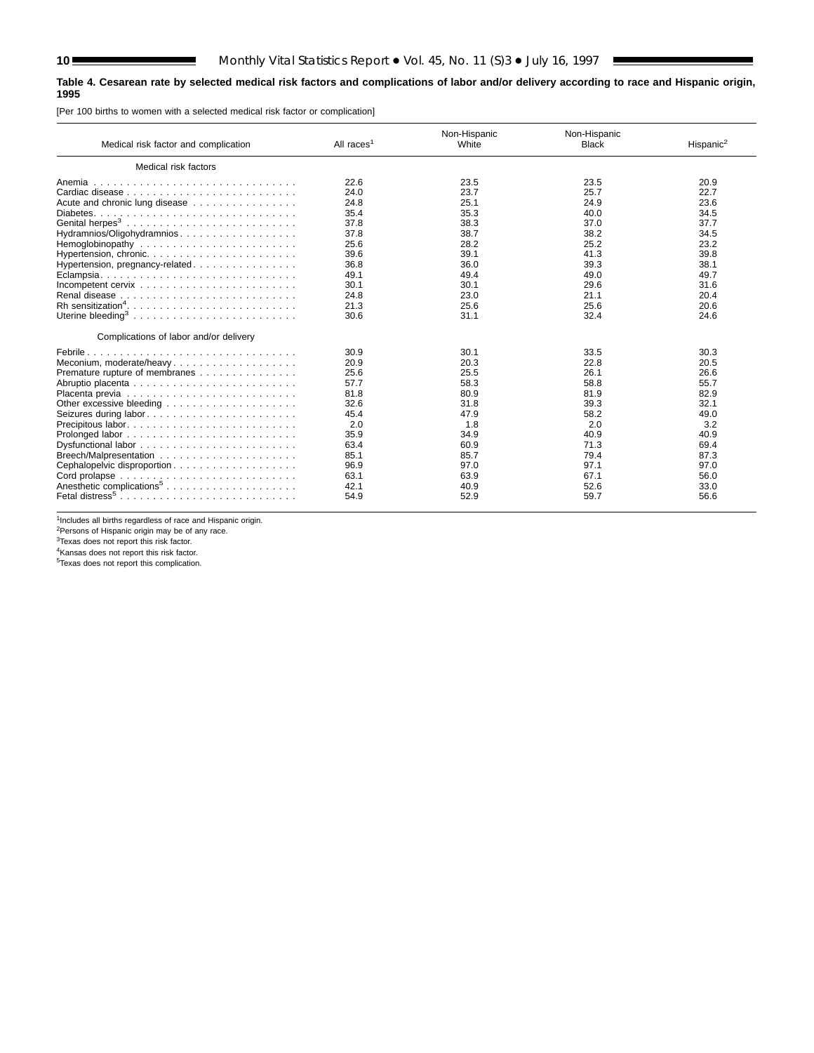#### <span id="page-9-0"></span>**Table 4. Cesarean rate by selected medical risk factors and complications of labor and/or delivery according to race and Hispanic origin, 1995**

[Per 100 births to women with a selected medical risk factor or complication]

| Medical risk factor and complication   | All races <sup>1</sup> | Non-Hispanic<br>White | Non-Hispanic<br><b>Black</b> | Hispanic <sup>2</sup> |
|----------------------------------------|------------------------|-----------------------|------------------------------|-----------------------|
| Medical risk factors                   |                        |                       |                              |                       |
|                                        | 22.6                   | 23.5                  | 23.5                         | 20.9                  |
|                                        | 24.0                   | 23.7                  | 25.7                         | 22.7                  |
| Acute and chronic lung disease         | 24.8                   | 25.1                  | 24.9                         | 23.6                  |
|                                        | 35.4                   | 35.3                  | 40.0                         | 34.5                  |
|                                        | 37.8                   | 38.3                  | 37.0                         | 37.7                  |
| Hydramnios/Oligohydramnios             | 37.8                   | 38.7                  | 38.2                         | 34.5                  |
|                                        | 25.6                   | 28.2                  | 25.2                         | 23.2                  |
|                                        | 39.6                   | 39.1                  | 41.3                         | 39.8                  |
| Hypertension, pregnancy-related.       | 36.8                   | 36.0                  | 39.3                         | 38.1                  |
|                                        | 49.1                   | 49.4                  | 49.0                         | 49.7                  |
|                                        | 30.1                   | 30.1                  | 29.6                         | 31.6                  |
|                                        | 24.8                   | 23.0                  | 21.1                         | 20.4                  |
|                                        | 21.3                   | 25.6                  | 25.6                         | 20.6                  |
|                                        | 30.6                   | 31.1                  | 32.4                         | 24.6                  |
| Complications of labor and/or delivery |                        |                       |                              |                       |
|                                        | 30.9                   | 30.1                  | 33.5                         | 30.3                  |
| Meconium, moderate/heavy               | 20.9                   | 20.3                  | 22.8                         | 20.5                  |
| Premature rupture of membranes         | 25.6                   | 25.5                  | 26.1                         | 26.6                  |
|                                        | 57.7                   | 58.3                  | 58.8                         | 55.7                  |
|                                        | 81.8                   | 80.9                  | 81.9                         | 82.9                  |
|                                        | 32.6                   | 31.8                  | 39.3                         | 32.1                  |
|                                        | 45.4                   | 47.9                  | 58.2                         | 49.0                  |
|                                        | 2.0                    | 1.8                   | 2.0                          | 3.2                   |
|                                        | 35.9                   | 34.9                  | 40.9                         | 40.9                  |
|                                        | 63.4                   | 60.9                  | 71.3                         | 69.4                  |
|                                        | 85.1                   | 85.7                  | 79.4                         | 87.3                  |
| Cephalopelvic disproportion            | 96.9                   | 97.0                  | 97.1                         | 97.0                  |
|                                        | 63.1                   | 63.9                  | 67.1                         | 56.0                  |
| Anesthetic complications <sup>5</sup>  | 42.1                   | 40.9                  | 52.6                         | 33.0                  |
|                                        | 54.9                   | 52.9                  | 59.7                         | 56.6                  |

 $1$ Includes all births regardless of race and Hispanic origin.

<sup>2</sup>Persons of Hispanic origin may be of any race.<br><sup>3</sup>Texas does not report this risk factor.<br><sup>4</sup>Kansas does not report this risk factor.

5Texas does not report this complication.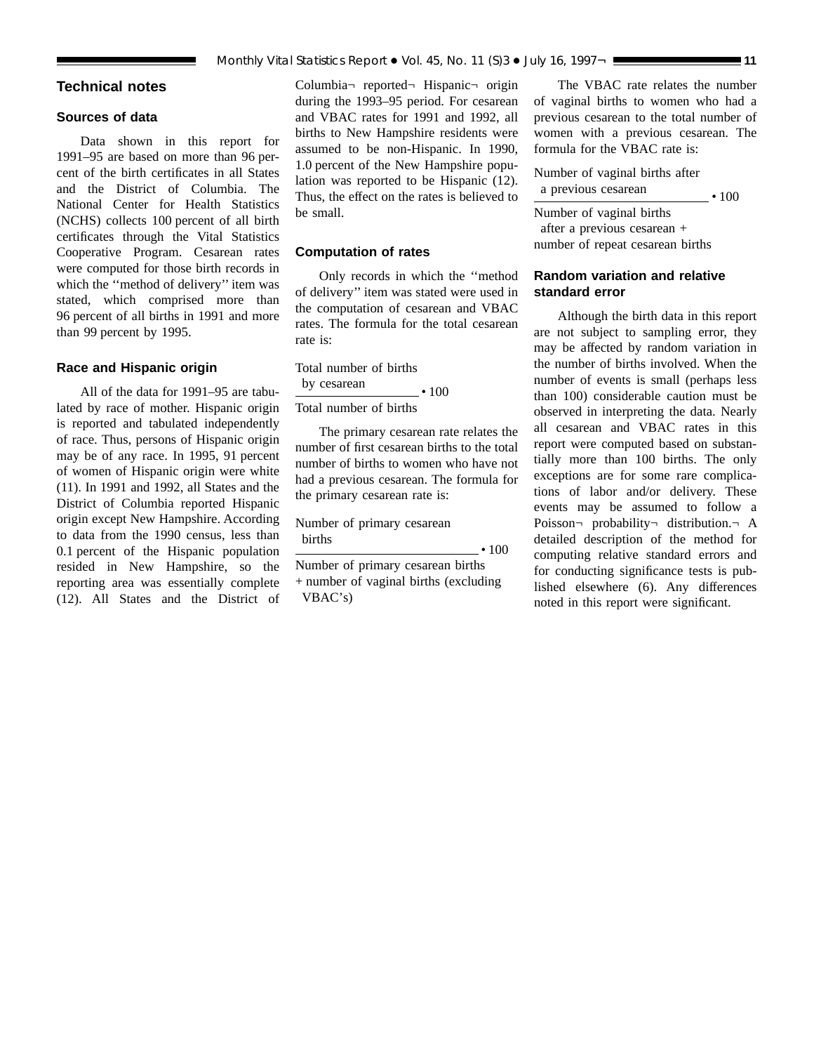### <span id="page-10-0"></span>**Technical notes**

#### **Sources of data**

Data shown in this report for 1991–95 are based on more than 96 percent of the birth certificates in all States and the District of Columbia. The National Center for Health Statistics (NCHS) collects 100 percent of all birth certificates through the Vital Statistics Cooperative Program. Cesarean rates were computed for those birth records in which the ''method of delivery'' item was stated, which comprised more than 96 percent of all births in 1991 and more than 99 percent by 1995.

#### **Race and Hispanic origin**

All of the data for 1991–95 are tabulated by race of mother. Hispanic origin is reported and tabulated independently of race. Thus, persons of Hispanic origin may be of any race. In 1995, 91 percent of women of Hispanic origin were white (11). In 1991 and 1992, all States and the District of Columbia reported Hispanic origin except New Hampshire. According to data from the 1990 census, less than 0.1 percent of the Hispanic population resided in New Hampshire, so the reporting area was essentially complete (12). All States and the District of Columbia¬ reported¬ Hispanic¬ origin during the 1993–95 period. For cesarean and VBAC rates for 1991 and 1992, all births to New Hampshire residents were assumed to be non-Hispanic. In 1990, 1.0 percent of the New Hampshire population was reported to be Hispanic (12). Thus, the effect on the rates is believed to be small.

#### **Computation of rates**

Only records in which the ''method of delivery'' item was stated were used in the computation of cesarean and VBAC rates. The formula for the total cesarean rate is:

Total number of births by cesarean  $\cdot$  100 Total number of births

The primary cesarean rate relates the number of first cesarean births to the total number of births to women who have not had a previous cesarean. The formula for the primary cesarean rate is:

Number of primary cesarean births  $\overline{\hspace{2cm}}$   $\cdot$  100

Number of primary cesarean births + number of vaginal births (excluding VBAC's)

The VBAC rate relates the number of vaginal births to women who had a previous cesarean to the total number of women with a previous cesarean. The formula for the VBAC rate is:

Number of vaginal births after a previous cesarean c 100

Number of vaginal births after a previous cesarean + number of repeat cesarean births

### **Random variation and relative standard error**

Although the birth data in this report are not subject to sampling error, they may be affected by random variation in the number of births involved. When the number of events is small (perhaps less than 100) considerable caution must be observed in interpreting the data. Nearly all cesarean and VBAC rates in this report were computed based on substantially more than 100 births. The only exceptions are for some rare complications of labor and/or delivery. These events may be assumed to follow a Poisson¬ probability¬ distribution.¬ A detailed description of the method for computing relative standard errors and for conducting significance tests is published elsewhere (6). Any differences noted in this report were significant.